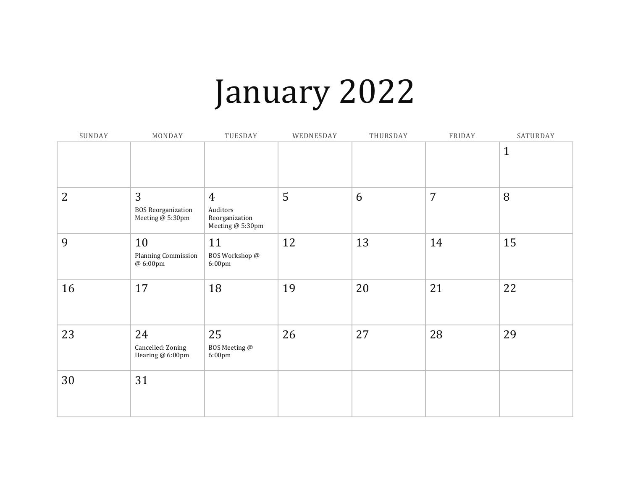## January 2022

| SUNDAY         | MONDAY                                                          | TUESDAY                                                          | WEDNESDAY | THURSDAY | FRIDAY         | SATURDAY     |
|----------------|-----------------------------------------------------------------|------------------------------------------------------------------|-----------|----------|----------------|--------------|
|                |                                                                 |                                                                  |           |          |                | $\mathbf{1}$ |
| $\overline{2}$ | $\overline{3}$<br><b>BOS Reorganization</b><br>Meeting @ 5:30pm | $\overline{4}$<br>Auditors<br>Reorganization<br>Meeting @ 5:30pm | 5         | 6        | $\overline{7}$ | 8            |
| 9              | 10<br>Planning Commission<br>@ 6:00pm                           | 11<br>BOS Workshop @<br>6:00pm                                   | 12        | 13       | 14             | 15           |
| 16             | 17                                                              | 18                                                               | 19        | 20       | 21             | 22           |
| 23             | 24<br>Cancelled: Zoning<br>Hearing @ 6:00pm                     | 25<br>BOS Meeting @<br>6:00pm                                    | 26        | 27       | 28             | 29           |
| 30             | 31                                                              |                                                                  |           |          |                |              |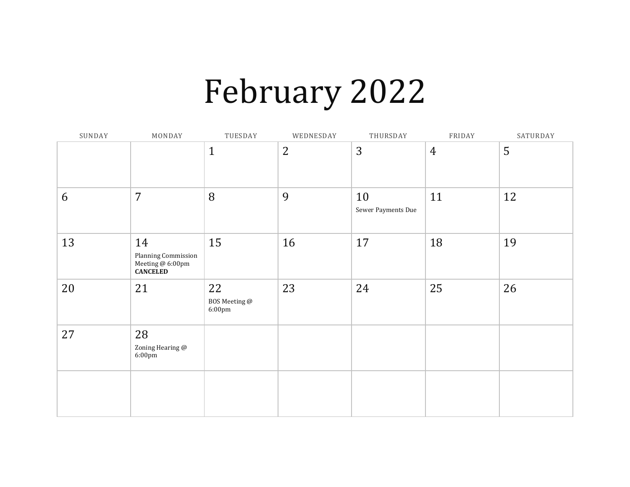## February 2022

| SUNDAY | MONDAY                                                           | TUESDAY                                 | WEDNESDAY      | THURSDAY                 | FRIDAY         | SATURDAY |
|--------|------------------------------------------------------------------|-----------------------------------------|----------------|--------------------------|----------------|----------|
|        |                                                                  | $\mathbf{1}$                            | $\overline{2}$ | 3                        | $\overline{4}$ | 5        |
| 6      | $\overline{7}$                                                   | 8                                       | 9              | 10<br>Sewer Payments Due | 11             | 12       |
| 13     | 14<br>Planning Commission<br>Meeting @ 6:00pm<br><b>CANCELED</b> | 15                                      | 16             | 17                       | 18             | 19       |
| 20     | 21                                                               | 22<br>BOS Meeting @<br>$6:00 \text{pm}$ | 23             | 24                       | 25             | 26       |
| 27     | 28<br>Zoning Hearing @<br>6:00pm                                 |                                         |                |                          |                |          |
|        |                                                                  |                                         |                |                          |                |          |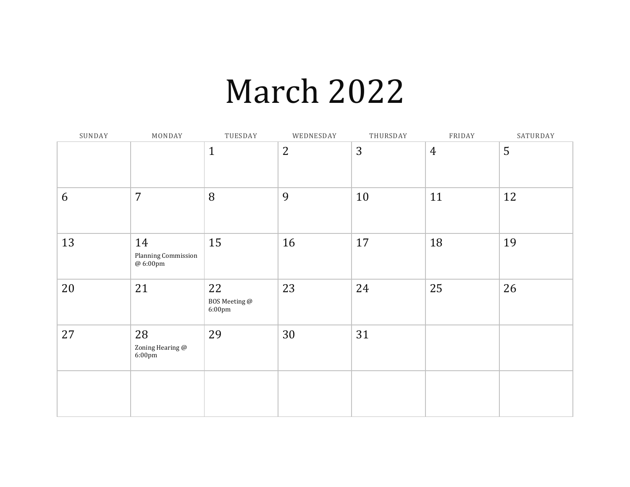### March 2022

| SUNDAY | MONDAY                                | TUESDAY                                 | WEDNESDAY      | THURSDAY | FRIDAY         | SATURDAY |
|--------|---------------------------------------|-----------------------------------------|----------------|----------|----------------|----------|
|        |                                       | $\mathbf{1}$                            | $\overline{2}$ | 3        | $\overline{4}$ | 5        |
| 6      | $\overline{7}$                        | 8                                       | 9              | 10       | 11             | 12       |
| 13     | 14<br>Planning Commission<br>@ 6:00pm | 15                                      | 16             | 17       | 18             | 19       |
| 20     | 21                                    | 22<br>BOS Meeting @<br>$6:00 \text{pm}$ | 23             | 24       | 25             | 26       |
| 27     | 28<br>Zoning Hearing @<br>6:00pm      | 29                                      | 30             | 31       |                |          |
|        |                                       |                                         |                |          |                |          |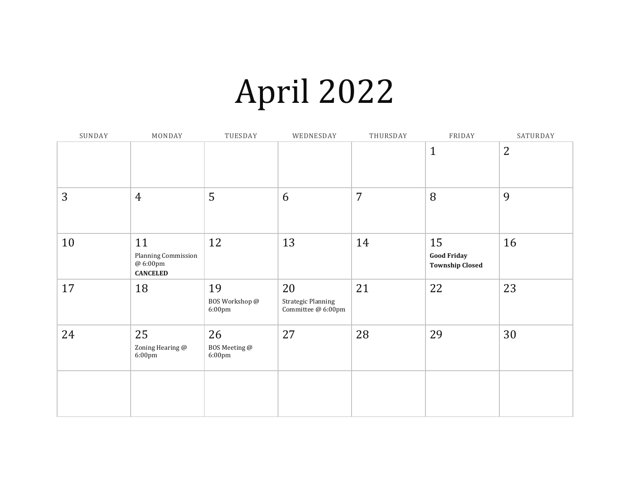## April 2022

| SUNDAY | MONDAY                                                   | TUESDAY                                  | WEDNESDAY                                      | THURSDAY | FRIDAY                                             | SATURDAY       |
|--------|----------------------------------------------------------|------------------------------------------|------------------------------------------------|----------|----------------------------------------------------|----------------|
|        |                                                          |                                          |                                                |          | $\mathbf{1}$                                       | $\overline{2}$ |
| 3      | $\overline{4}$                                           | 5                                        | 6                                              | 7        | 8                                                  | 9              |
| 10     | 11<br>Planning Commission<br>@ 6:00pm<br><b>CANCELED</b> | 12                                       | 13                                             | 14       | 15<br><b>Good Friday</b><br><b>Township Closed</b> | 16             |
| 17     | 18                                                       | 19<br>BOS Workshop @<br>$6:00 \text{pm}$ | 20<br>Strategic Planning<br>Committee @ 6:00pm | 21       | 22                                                 | 23             |
| 24     | 25<br>Zoning Hearing @<br>6:00pm                         | 26<br>BOS Meeting @<br>6:00pm            | 27                                             | 28       | 29                                                 | 30             |
|        |                                                          |                                          |                                                |          |                                                    |                |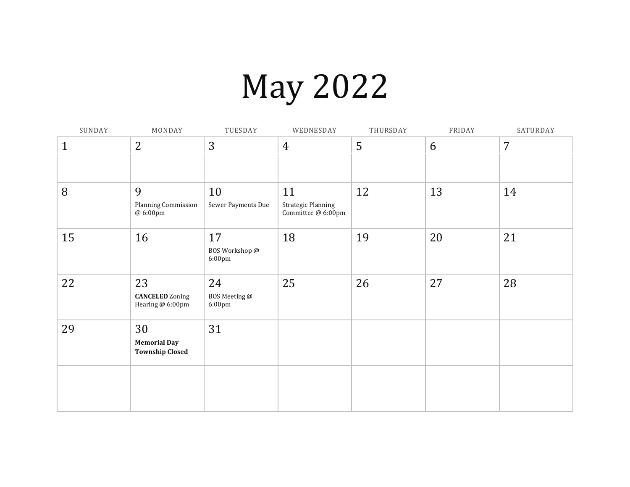# May 2022

| SUNDAY       | MONDAY                                              | TUESDAY                                  | WEDNESDAY                                             | THURSDAY | FRIDAY | SATURDAY |
|--------------|-----------------------------------------------------|------------------------------------------|-------------------------------------------------------|----------|--------|----------|
| $\mathbf{1}$ | $\overline{2}$                                      | 3                                        | 4                                                     | 5        | 6      | 7        |
| 8            | 9<br>Planning Commission<br>@ 6:00pm                | 10<br>Sewer Payments Due                 | 11<br><b>Strategic Planning</b><br>Committee @ 6:00pm | 12       | 13     | 14       |
| 15           | 16                                                  | 17<br>BOS Workshop @<br>$6:00 \text{pm}$ | 18                                                    | 19       | 20     | 21       |
| 22           | 23<br><b>CANCELED</b> Zoning<br>Hearing @ 6:00pm    | 24<br>BOS Meeting @<br>6:00pm            | 25                                                    | 26       | 27     | 28       |
| 29           | 30<br><b>Memorial Day</b><br><b>Township Closed</b> | 31                                       |                                                       |          |        |          |
|              |                                                     |                                          |                                                       |          |        |          |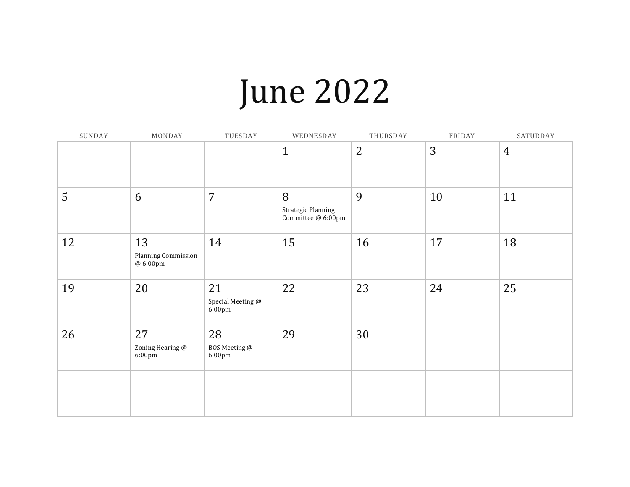## June 2022

| SUNDAY | MONDAY                                | TUESDAY                                     | WEDNESDAY                                     | THURSDAY       | FRIDAY | SATURDAY       |
|--------|---------------------------------------|---------------------------------------------|-----------------------------------------------|----------------|--------|----------------|
|        |                                       |                                             | $\mathbf{1}$                                  | $\overline{2}$ | 3      | $\overline{4}$ |
| 5      | 6                                     | $\overline{7}$                              | 8<br>Strategic Planning<br>Committee @ 6:00pm | 9              | 10     | 11             |
| 12     | 13<br>Planning Commission<br>@ 6:00pm | 14                                          | 15                                            | 16             | 17     | 18             |
| 19     | 20                                    | 21<br>Special Meeting @<br>$6:00 \text{pm}$ | 22                                            | 23             | 24     | 25             |
| 26     | 27<br>Zoning Hearing @<br>6:00pm      | 28<br>BOS Meeting @<br>$6:00 \text{pm}$     | 29                                            | 30             |        |                |
|        |                                       |                                             |                                               |                |        |                |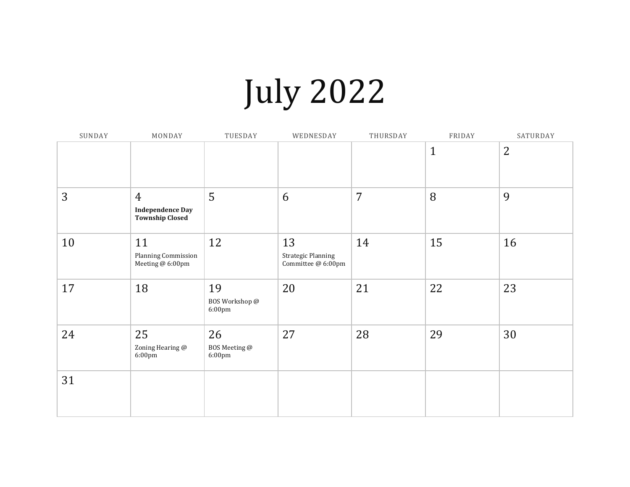# July 2022

| SUNDAY | MONDAY                                                              | TUESDAY                        | WEDNESDAY                                             | THURSDAY       | FRIDAY       | SATURDAY       |
|--------|---------------------------------------------------------------------|--------------------------------|-------------------------------------------------------|----------------|--------------|----------------|
|        |                                                                     |                                |                                                       |                | $\mathbf{1}$ | $\overline{2}$ |
| 3      | $\overline{4}$<br><b>Independence Day</b><br><b>Township Closed</b> | 5                              | 6                                                     | $\overline{7}$ | 8            | 9              |
| 10     | 11<br>Planning Commission<br>Meeting @ 6:00pm                       | 12                             | 13<br><b>Strategic Planning</b><br>Committee @ 6:00pm | 14             | 15           | 16             |
| 17     | 18                                                                  | 19<br>BOS Workshop @<br>6:00pm | 20                                                    | 21             | 22           | 23             |
| 24     | 25<br>Zoning Hearing @<br>$6:00 \text{pm}$                          | 26<br>BOS Meeting @<br>6:00pm  | 27                                                    | 28             | 29           | 30             |
| 31     |                                                                     |                                |                                                       |                |              |                |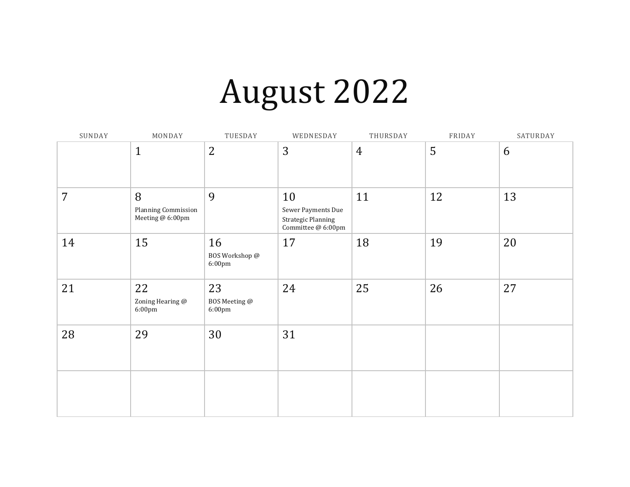## August 2022

| SUNDAY         | MONDAY                                       | TUESDAY                                 | WEDNESDAY                                                                   | THURSDAY       | FRIDAY | SATURDAY |
|----------------|----------------------------------------------|-----------------------------------------|-----------------------------------------------------------------------------|----------------|--------|----------|
|                | $\mathbf{1}$                                 | $\overline{2}$                          | 3                                                                           | $\overline{4}$ | 5      | 6        |
| $\overline{7}$ | 8<br>Planning Commission<br>Meeting @ 6:00pm | 9                                       | 10<br>Sewer Payments Due<br><b>Strategic Planning</b><br>Committee @ 6:00pm | 11             | 12     | 13       |
| 14             | 15                                           | 16<br>BOS Workshop @<br>6:00pm          | 17                                                                          | 18             | 19     | 20       |
| 21             | 22<br>Zoning Hearing @<br>6:00pm             | 23<br>BOS Meeting @<br>$6:00 \text{pm}$ | 24                                                                          | 25             | 26     | 27       |
| 28             | 29                                           | 30                                      | 31                                                                          |                |        |          |
|                |                                              |                                         |                                                                             |                |        |          |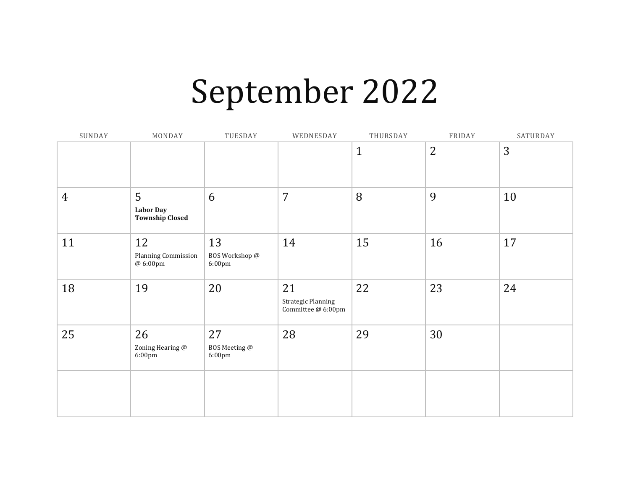### September 2022

| SUNDAY         | MONDAY                                          | TUESDAY                                  | WEDNESDAY                                        | THURSDAY     | FRIDAY         | SATURDAY |
|----------------|-------------------------------------------------|------------------------------------------|--------------------------------------------------|--------------|----------------|----------|
|                |                                                 |                                          |                                                  | $\mathbf{1}$ | $\overline{2}$ | 3        |
| $\overline{4}$ | 5<br><b>Labor Day</b><br><b>Township Closed</b> | 6                                        | 7                                                | 8            | 9              | 10       |
| 11             | 12<br>Planning Commission<br>@ 6:00pm           | 13<br>BOS Workshop @<br>$6:00 \text{pm}$ | 14                                               | 15           | 16             | 17       |
| 18             | 19                                              | 20                                       | 21<br>Strategic Planning<br>Committee $@$ 6:00pm | 22           | 23             | 24       |
| 25             | 26<br>Zoning Hearing @<br>6:00pm                | 27<br>BOS Meeting @<br>$6:00 \text{pm}$  | 28                                               | 29           | 30             |          |
|                |                                                 |                                          |                                                  |              |                |          |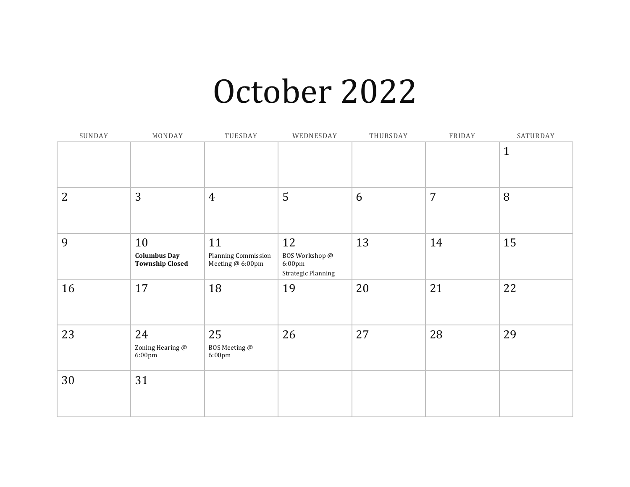#### October 2022

| SUNDAY | MONDAY                                              | TUESDAY                                       | WEDNESDAY                                                   | THURSDAY | FRIDAY         | SATURDAY     |
|--------|-----------------------------------------------------|-----------------------------------------------|-------------------------------------------------------------|----------|----------------|--------------|
|        |                                                     |                                               |                                                             |          |                | $\mathbf{1}$ |
| 2      | 3                                                   | $\overline{4}$                                | 5                                                           | 6        | $\overline{7}$ | 8            |
| 9      | 10<br><b>Columbus Day</b><br><b>Township Closed</b> | 11<br>Planning Commission<br>Meeting @ 6:00pm | 12<br>BOS Workshop @<br>6:00pm<br><b>Strategic Planning</b> | 13       | 14             | 15           |
| 16     | 17                                                  | 18                                            | 19                                                          | 20       | 21             | 22           |
| 23     | 24<br>Zoning Hearing @<br>6:00pm                    | 25<br>BOS Meeting @<br>$6:00 \text{pm}$       | 26                                                          | 27       | 28             | 29           |
| 30     | 31                                                  |                                               |                                                             |          |                |              |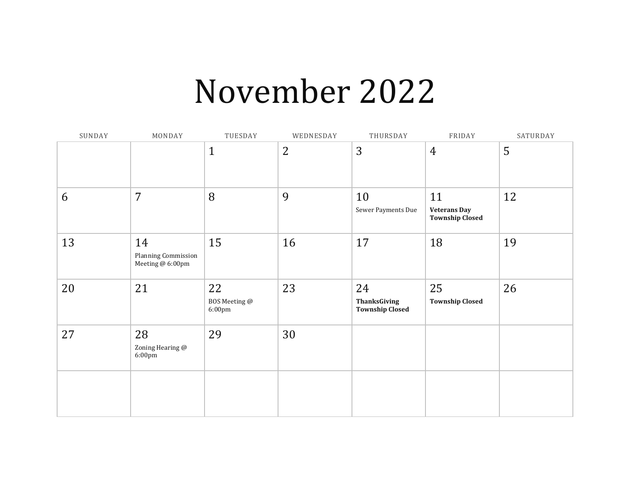#### November 2022

| SUNDAY | MONDAY                                        | TUESDAY                                 | WEDNESDAY | THURSDAY                                            | FRIDAY                                              | SATURDAY |
|--------|-----------------------------------------------|-----------------------------------------|-----------|-----------------------------------------------------|-----------------------------------------------------|----------|
|        |                                               | $\mathbf{1}$                            | 2         | 3                                                   | $\overline{4}$                                      | 5        |
| 6      | $\overline{7}$                                | 8                                       | 9         | 10<br>Sewer Payments Due                            | 11<br><b>Veterans Day</b><br><b>Township Closed</b> | 12       |
| 13     | 14<br>Planning Commission<br>Meeting @ 6:00pm | 15                                      | 16        | 17                                                  | 18                                                  | 19       |
| 20     | 21                                            | 22<br>BOS Meeting @<br>$6:00 \text{pm}$ | 23        | 24<br><b>ThanksGiving</b><br><b>Township Closed</b> | 25<br><b>Township Closed</b>                        | 26       |
| 27     | 28<br>Zoning Hearing @<br>6:00pm              | 29                                      | 30        |                                                     |                                                     |          |
|        |                                               |                                         |           |                                                     |                                                     |          |